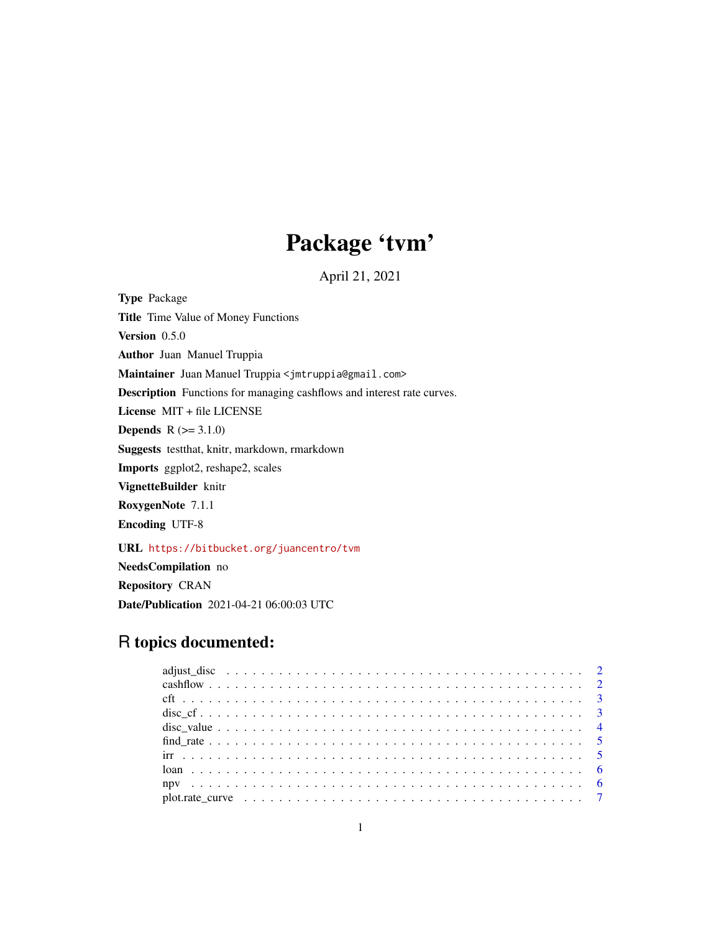## Package 'tvm'

April 21, 2021

Type Package Title Time Value of Money Functions Version 0.5.0 Author Juan Manuel Truppia Maintainer Juan Manuel Truppia <jmtruppia@gmail.com> Description Functions for managing cashflows and interest rate curves. License MIT + file LICENSE **Depends**  $R (=3.1.0)$ Suggests testthat, knitr, markdown, rmarkdown Imports ggplot2, reshape2, scales VignetteBuilder knitr RoxygenNote 7.1.1 Encoding UTF-8 URL <https://bitbucket.org/juancentro/tvm> NeedsCompilation no

Repository CRAN Date/Publication 2021-04-21 06:00:03 UTC

### R topics documented: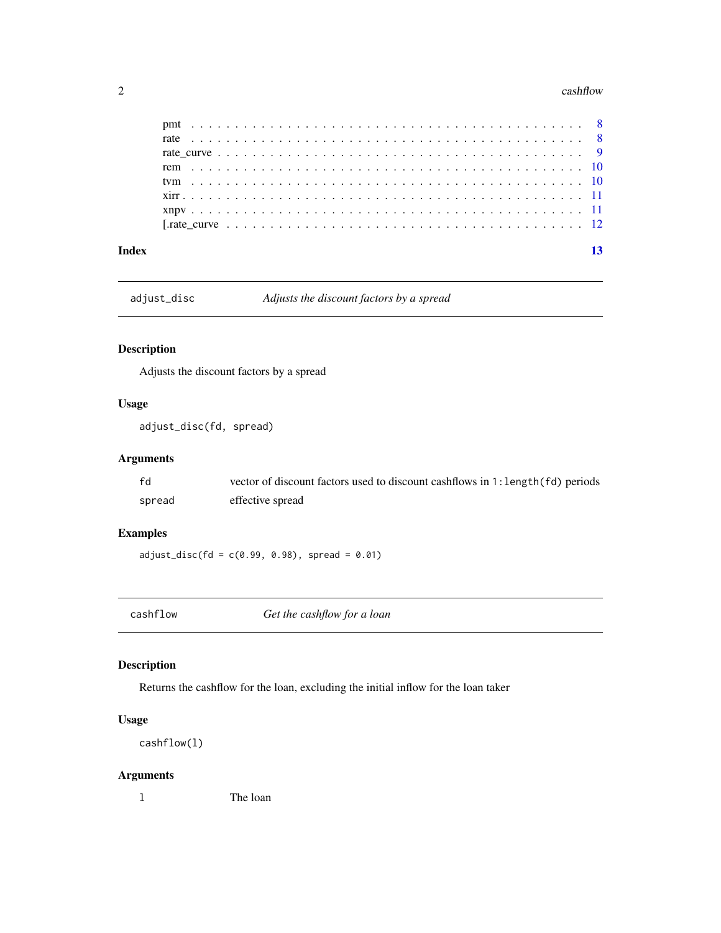#### <span id="page-1-0"></span>2 cashflow cashflow cashflow cashflow cashflow cashflow cashflow cashflow cashflow cashflow cashflow cashflow cashflow cashflow cashflow cashflow cashflow cashflow cashflow cashflow cashflow cashflow cashflow cashflow cash

| Index |  |
|-------|--|

adjust\_disc *Adjusts the discount factors by a spread*

#### Description

Adjusts the discount factors by a spread

#### Usage

adjust\_disc(fd, spread)

#### Arguments

| ۴d     | vector of discount factors used to discount cashflows in 1: length (fd) periods |
|--------|---------------------------------------------------------------------------------|
| spread | effective spread                                                                |

#### Examples

 $adjust\_disc(fd = c(0.99, 0.98), spread = 0.01)$ 

cashflow *Get the cashflow for a loan*

#### Description

Returns the cashflow for the loan, excluding the initial inflow for the loan taker

#### Usage

```
cashflow(l)
```
#### Arguments

l The loan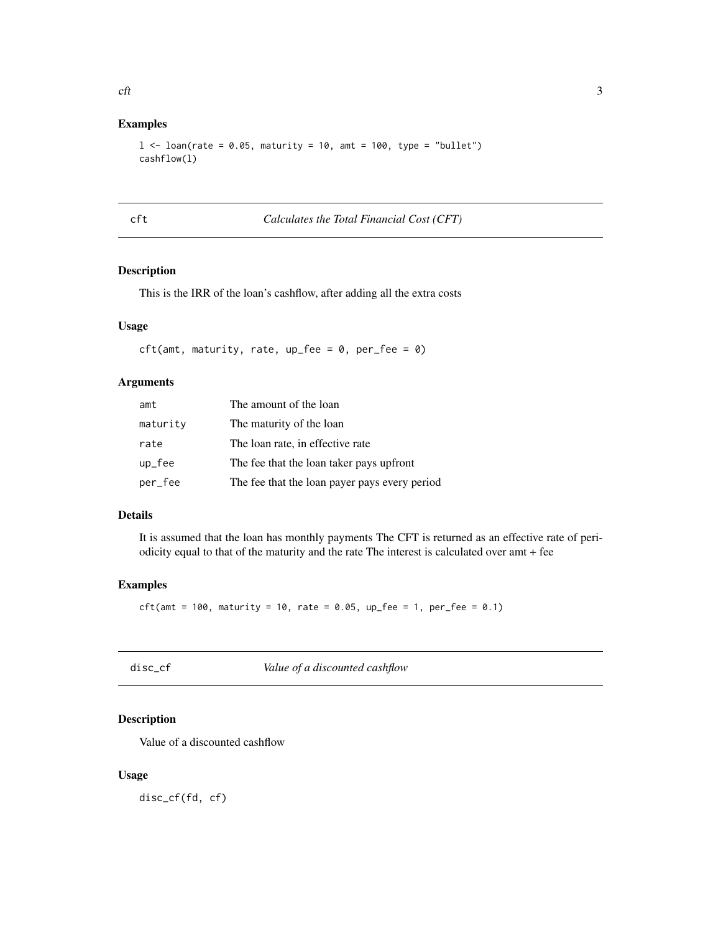#### <span id="page-2-0"></span>Examples

```
l <- loan(rate = 0.05, maturity = 10, amt = 100, type = "bullet")
cashflow(l)
```
cft *Calculates the Total Financial Cost (CFT)*

#### Description

This is the IRR of the loan's cashflow, after adding all the extra costs

#### Usage

```
cft(amt, maturity, rate, up_fee = 0, per_fee = 0)
```
#### Arguments

| amt               | The amount of the loan                        |
|-------------------|-----------------------------------------------|
| maturity          | The maturity of the loan                      |
| rate              | The loan rate, in effective rate              |
| $up_{e}$ and $he$ | The fee that the loan taker pays upfront      |
| per_fee           | The fee that the loan payer pays every period |

#### Details

It is assumed that the loan has monthly payments The CFT is returned as an effective rate of periodicity equal to that of the maturity and the rate The interest is calculated over amt + fee

#### Examples

```
ct(\text{amt} = 100, \text{ maturity} = 10, \text{ rate} = 0.05, \text{ up\_fee} = 1, \text{ per\_fee} = 0.1)
```

| disc_cf | Value of a discounted cashflow |
|---------|--------------------------------|
|---------|--------------------------------|

#### Description

Value of a discounted cashflow

#### Usage

disc\_cf(fd, cf)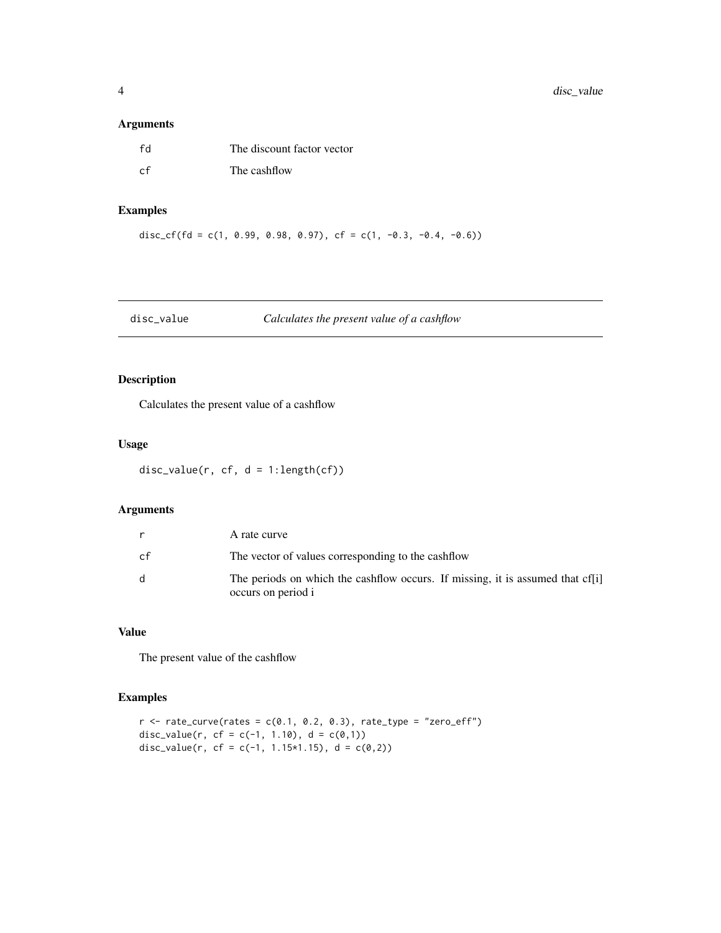#### <span id="page-3-0"></span>Arguments

| - LY | The discount factor vector |
|------|----------------------------|
| r f  | The cashflow               |

#### Examples

disc\_cf(fd = c(1, 0.99, 0.98, 0.97), cf = c(1, -0.3, -0.4, -0.6))

#### disc\_value *Calculates the present value of a cashflow*

#### Description

Calculates the present value of a cashflow

#### Usage

 $disc_value(r, cf, d = 1:length(cf))$ 

#### Arguments

| r            | A rate curve                                                                                         |
|--------------|------------------------------------------------------------------------------------------------------|
| cf           | The vector of values corresponding to the cashflow                                                   |
| <sub>d</sub> | The periods on which the cashflow occurs. If missing, it is assumed that cf[i]<br>occurs on period i |

#### Value

The present value of the cashflow

#### Examples

```
r <- rate_curve(rates = c(0.1, 0.2, 0.3), rate_type = "zero_eff")
disc_value(r, cf = c(-1, 1.10), d = c(0,1))
disc_value(r, cf = c(-1, 1.15*1.15), d = c(0,2))
```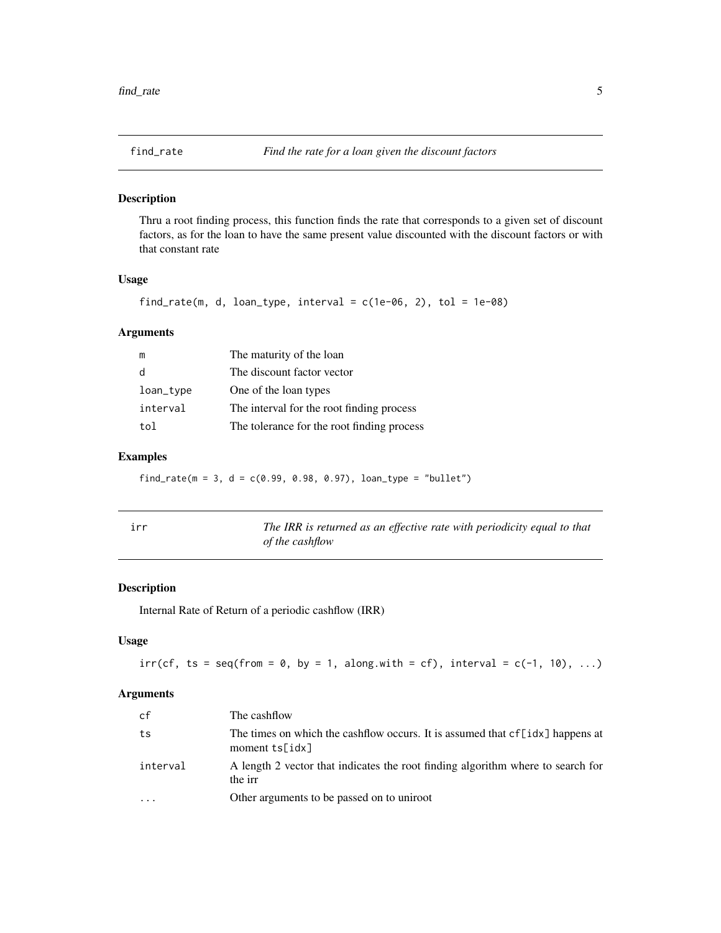<span id="page-4-0"></span>

#### Description

Thru a root finding process, this function finds the rate that corresponds to a given set of discount factors, as for the loan to have the same present value discounted with the discount factors or with that constant rate

#### Usage

```
find_rate(m, d, loan_type, interval = c(1e-06, 2), tol = 1e-08)
```
#### Arguments

| m         | The maturity of the loan                   |
|-----------|--------------------------------------------|
| d         | The discount factor vector                 |
| loan_type | One of the loan types                      |
| interval  | The interval for the root finding process  |
| tol       | The tolerance for the root finding process |

#### Examples

find\_rate( $m = 3$ ,  $d = c(0.99, 0.98, 0.97)$ , loan\_type = "bullet")

| irr | The IRR is returned as an effective rate with periodicity equal to that |
|-----|-------------------------------------------------------------------------|
|     | of the cashflow                                                         |

#### Description

Internal Rate of Return of a periodic cashflow (IRR)

#### Usage

 $irr(cf, ts = seq(from = 0, by = 1, along with = cf), interval = c(-1, 10), ...$ 

#### Arguments

| cf                      | The cashflow                                                                                      |
|-------------------------|---------------------------------------------------------------------------------------------------|
| ts                      | The times on which the cashflow occurs. It is assumed that cf[idx] happens at<br>moment $ts[idx]$ |
| interval                | A length 2 vector that indicates the root finding algorithm where to search for<br>the irr        |
| $\cdot$ $\cdot$ $\cdot$ | Other arguments to be passed on to uniroot                                                        |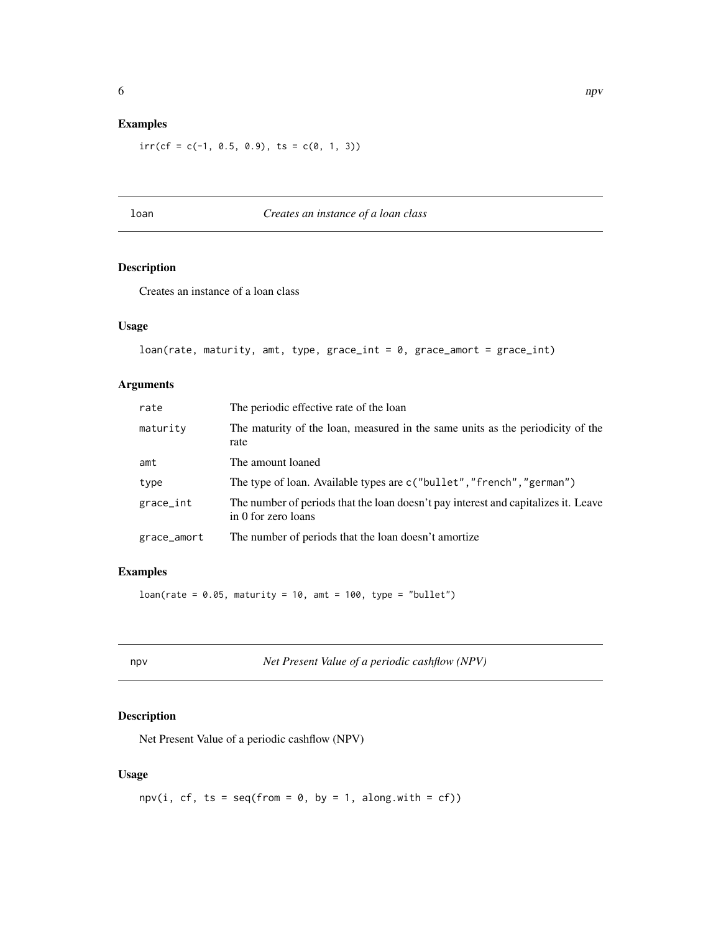#### <span id="page-5-0"></span>Examples

 $irr(cf = c(-1, 0.5, 0.9), ts = c(0, 1, 3))$ 

### loan *Creates an instance of a loan class*

#### Description

Creates an instance of a loan class

#### Usage

```
loan(rate, maturity, amt, type, grace_int = 0, grace_amort = grace_int)
```
#### Arguments

| rate        | The periodic effective rate of the loan                                                                   |
|-------------|-----------------------------------------------------------------------------------------------------------|
| maturity    | The maturity of the loan, measured in the same units as the periodicity of the<br>rate                    |
| amt         | The amount loaned                                                                                         |
| type        | The type of loan. Available types are c("bullet", "french", "german")                                     |
| grace_int   | The number of periods that the loan doesn't pay interest and capitalizes it. Leave<br>in 0 for zero loans |
| grace_amort | The number of periods that the loan doesn't amortize                                                      |

#### Examples

 $loan(\text{rate} = 0.05, \text{ maturity} = 10, \text{amt} = 100, \text{ type} = \text{"bullet"})$ 

npv *Net Present Value of a periodic cashflow (NPV)*

#### Description

Net Present Value of a periodic cashflow (NPV)

#### Usage

 $npv(i, cf, ts = seq(from = 0, by = 1, along.with = cf))$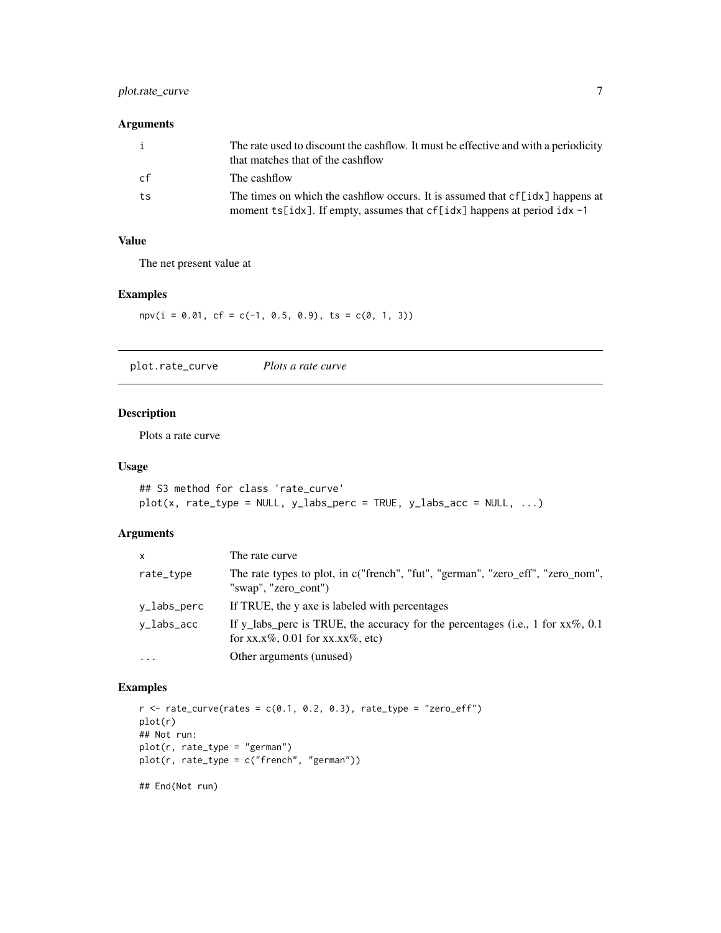#### <span id="page-6-0"></span>plot.rate\_curve 7

#### Arguments

| $\mathbf{i}$ | The rate used to discount the cashflow. It must be effective and with a periodicity<br>that matches that of the cashflow                                    |
|--------------|-------------------------------------------------------------------------------------------------------------------------------------------------------------|
| cf           | The cashflow                                                                                                                                                |
| ts           | The times on which the cashflow occurs. It is assumed that cf[idx] happens at<br>moment ts[idx]. If empty, assumes that $cf$ [idx] happens at period idx -1 |

#### Value

The net present value at

#### Examples

 $npv(i = 0.01, cf = c(-1, 0.5, 0.9), ts = c(0, 1, 3))$ 

plot.rate\_curve *Plots a rate curve*

#### Description

Plots a rate curve

#### Usage

```
## S3 method for class 'rate_curve'
plot(x, rate_type = NULL, y_labels_perc = TRUE, y_labels.ac = NULL, ...)
```
#### Arguments

| X           | The rate curve                                                                                                         |
|-------------|------------------------------------------------------------------------------------------------------------------------|
| rate_type   | The rate types to plot, in c("french", "fut", "german", "zero_eff", "zero_nom",<br>"swap", "zero_cont")                |
| y_labs_perc | If TRUE, the y axe is labeled with percentages                                                                         |
| v_labs_acc  | If y_labs_perc is TRUE, the accuracy for the percentages (i.e., 1 for $xx\%$ , 0.1<br>for xx.x%, 0.01 for xx.xx%, etc) |
| $\cdots$    | Other arguments (unused)                                                                                               |

#### Examples

```
r <- rate_curve(rates = c(0.1, 0.2, 0.3), rate_type = "zero_eff")
plot(r)
## Not run:
plot(r, rate_type = "german")
plot(r, rate_type = c("french", "german"))
```
## End(Not run)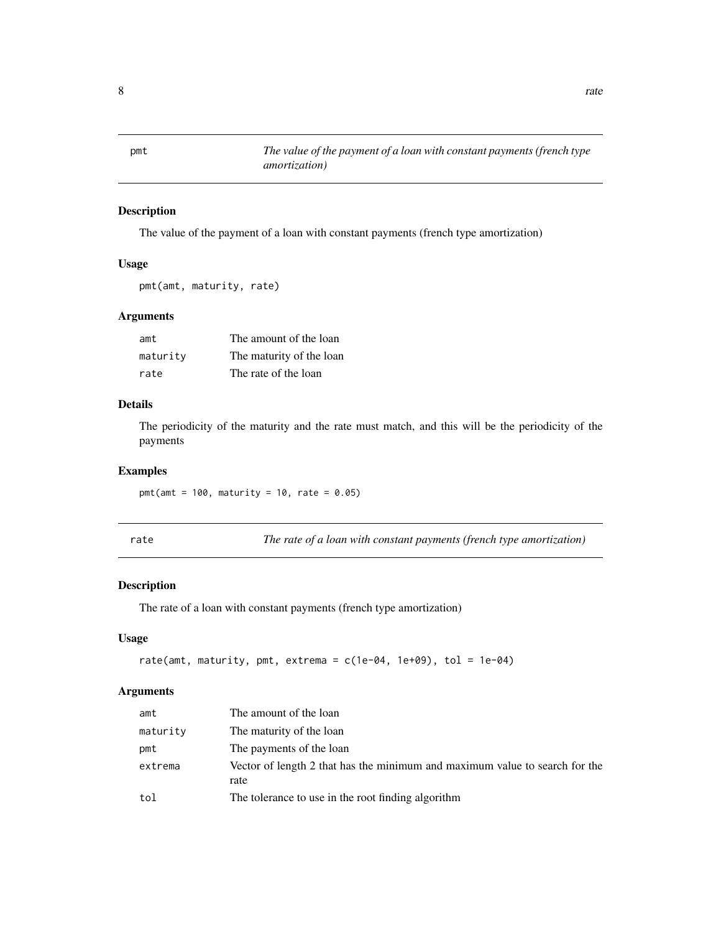<span id="page-7-0"></span>pmt *The value of the payment of a loan with constant payments (french type amortization)*

#### Description

The value of the payment of a loan with constant payments (french type amortization)

#### Usage

```
pmt(amt, maturity, rate)
```
#### Arguments

| amt      | The amount of the loan   |
|----------|--------------------------|
| maturity | The maturity of the loan |
| rate     | The rate of the loan     |

#### Details

The periodicity of the maturity and the rate must match, and this will be the periodicity of the payments

#### Examples

pmt(amt =  $100$ , maturity =  $10$ , rate =  $0.05$ )

rate *The rate of a loan with constant payments (french type amortization)*

#### Description

The rate of a loan with constant payments (french type amortization)

#### Usage

```
rate(amt, maturity, pmt, extrema = c(1e-04, 1e+09), tol = 1e-04)
```
#### Arguments

| amt      | The amount of the loan                                                              |
|----------|-------------------------------------------------------------------------------------|
| maturity | The maturity of the loan                                                            |
| pmt      | The payments of the loan                                                            |
| extrema  | Vector of length 2 that has the minimum and maximum value to search for the<br>rate |
| tol      | The tolerance to use in the root finding algorithm                                  |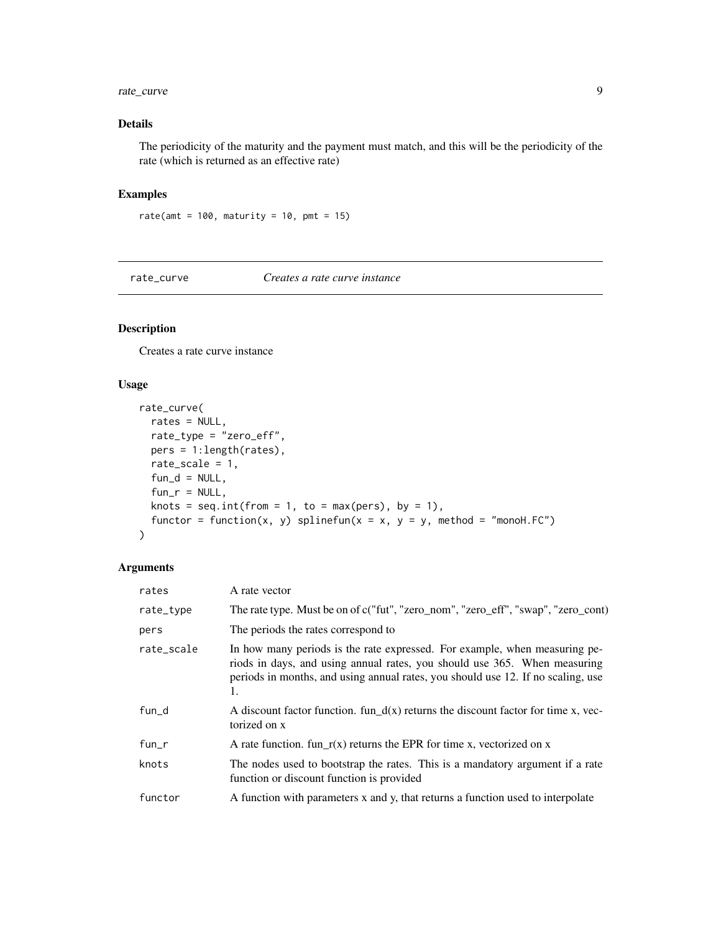#### <span id="page-8-0"></span>rate\_curve 9

#### Details

The periodicity of the maturity and the payment must match, and this will be the periodicity of the rate (which is returned as an effective rate)

#### Examples

```
rate(amt = 100, maturity = 10, pmt = 15)
```
rate\_curve *Creates a rate curve instance*

#### Description

Creates a rate curve instance

#### Usage

```
rate_curve(
 rates = NULL,
 rate_type = "zero_eff",
 pers = 1:length(rates),
 rate_scale = 1,
  fun_d = NULL,fun_r = NULL,knots = seq.int(from = 1, to = max(pers), by = 1),
 functor = function(x, y) splinefun(x = x, y = y, method = "monoH.FC")
)
```
#### Arguments

| rates      | A rate vector                                                                                                                                                                                                                                     |
|------------|---------------------------------------------------------------------------------------------------------------------------------------------------------------------------------------------------------------------------------------------------|
| rate_type  | The rate type. Must be on of c("fut", "zero_nom", "zero_eff", "swap", "zero_cont)                                                                                                                                                                 |
| pers       | The periods the rates correspond to                                                                                                                                                                                                               |
| rate_scale | In how many periods is the rate expressed. For example, when measuring pe-<br>riods in days, and using annual rates, you should use 365. When measuring<br>periods in months, and using annual rates, you should use 12. If no scaling, use<br>1. |
| fun_d      | A discount factor function. fun_d(x) returns the discount factor for time x, vec-<br>torized on x                                                                                                                                                 |
| fun_r      | A rate function. fun_r(x) returns the EPR for time x, vectorized on x                                                                                                                                                                             |
| knots      | The nodes used to bootstrap the rates. This is a mandatory argument if a rate<br>function or discount function is provided                                                                                                                        |
| functor    | A function with parameters x and y, that returns a function used to interpolate                                                                                                                                                                   |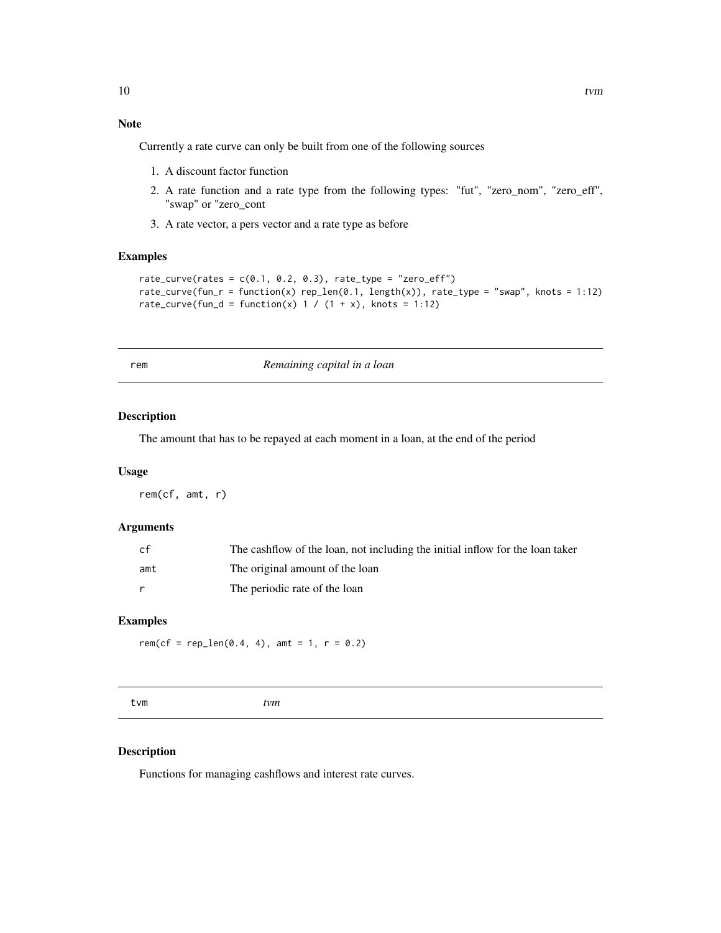#### <span id="page-9-0"></span>Note

Currently a rate curve can only be built from one of the following sources

- 1. A discount factor function
- 2. A rate function and a rate type from the following types: "fut", "zero\_nom", "zero\_eff", "swap" or "zero\_cont
- 3. A rate vector, a pers vector and a rate type as before

#### Examples

```
rate_curve(rates = c(0.1, 0.2, 0.3), rate_type = "zero_eff")
rate\_curve(fun_r = function(x) rep\_len(0.1, length(x)), rate\_type = "swap", knots = 1:12)rate_curve(fun_d = function(x) 1 / (1 + x), knots = 1:12)
```
rem *Remaining capital in a loan*

#### Description

The amount that has to be repayed at each moment in a loan, at the end of the period

#### Usage

rem(cf, amt, r)

#### Arguments

| cf  | The cashflow of the loan, not including the initial inflow for the loan taker |
|-----|-------------------------------------------------------------------------------|
| amt | The original amount of the loan                                               |
|     | The periodic rate of the loan                                                 |

#### Examples

rem(cf = rep\_len(0.4, 4), amt = 1,  $r = 0.2$ )

tvm *tvm*

#### Description

Functions for managing cashflows and interest rate curves.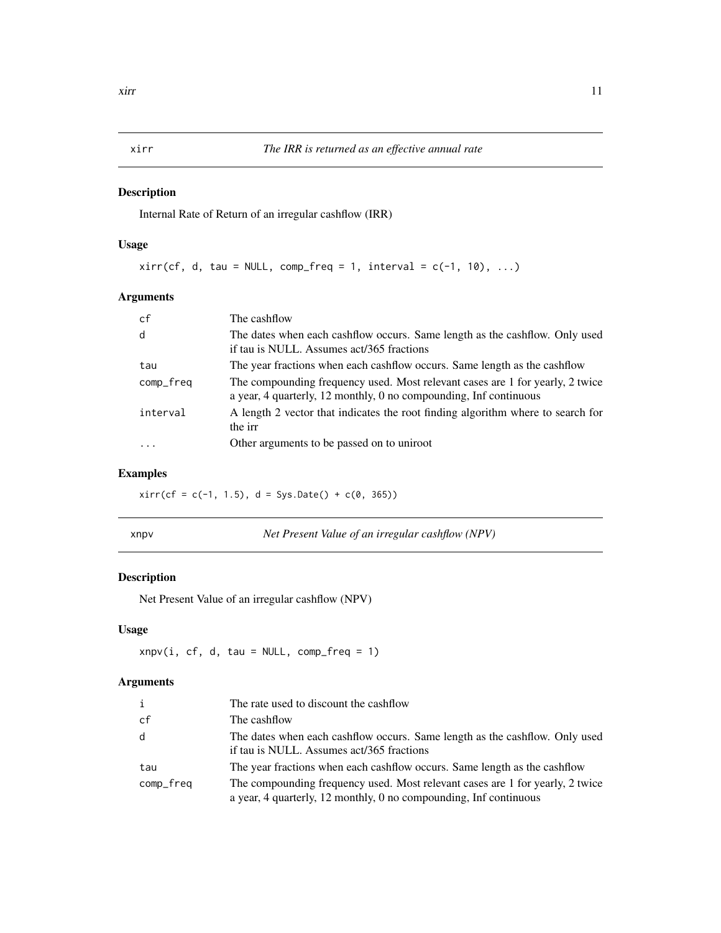#### Description

Internal Rate of Return of an irregular cashflow (IRR)

#### Usage

```
xirr(cf, d, tau = NULL, comp_freq = 1, interval = c(-1, 10), ...
```
#### Arguments

| cf        | The cashflow                                                                                                                                       |
|-----------|----------------------------------------------------------------------------------------------------------------------------------------------------|
| d         | The dates when each cashflow occurs. Same length as the cashflow. Only used<br>if tau is NULL. Assumes act/365 fractions                           |
| tau       | The year fractions when each cashflow occurs. Same length as the cashflow                                                                          |
| comp_freq | The compounding frequency used. Most relevant cases are 1 for yearly, 2 twice<br>a year, 4 quarterly, 12 monthly, 0 no compounding, Inf continuous |
| interval  | A length 2 vector that indicates the root finding algorithm where to search for<br>the irr                                                         |
| $\cdot$   | Other arguments to be passed on to uniroot                                                                                                         |

### Examples

 $xirr(cf = c(-1, 1.5), d = Sys.DataFrame() + c(0, 365))$ 

|--|

v *Net Present Value of an irregular cashflow (NPV)* 

#### Description

Net Present Value of an irregular cashflow (NPV)

#### Usage

 $xnpv(i, cf, d, tau = NULL, comp_freq = 1)$ 

#### Arguments

| i         | The rate used to discount the cashflow                                                                                                             |
|-----------|----------------------------------------------------------------------------------------------------------------------------------------------------|
| cf        | The cashflow                                                                                                                                       |
| d         | The dates when each cashflow occurs. Same length as the cashflow. Only used<br>if tau is NULL. Assumes act/365 fractions                           |
| tau       | The year fractions when each cashflow occurs. Same length as the cashflow                                                                          |
| comp_freq | The compounding frequency used. Most relevant cases are 1 for yearly, 2 twice<br>a year, 4 quarterly, 12 monthly, 0 no compounding, Inf continuous |

<span id="page-10-0"></span>xirr *The IRR is returned as an effective annual rate*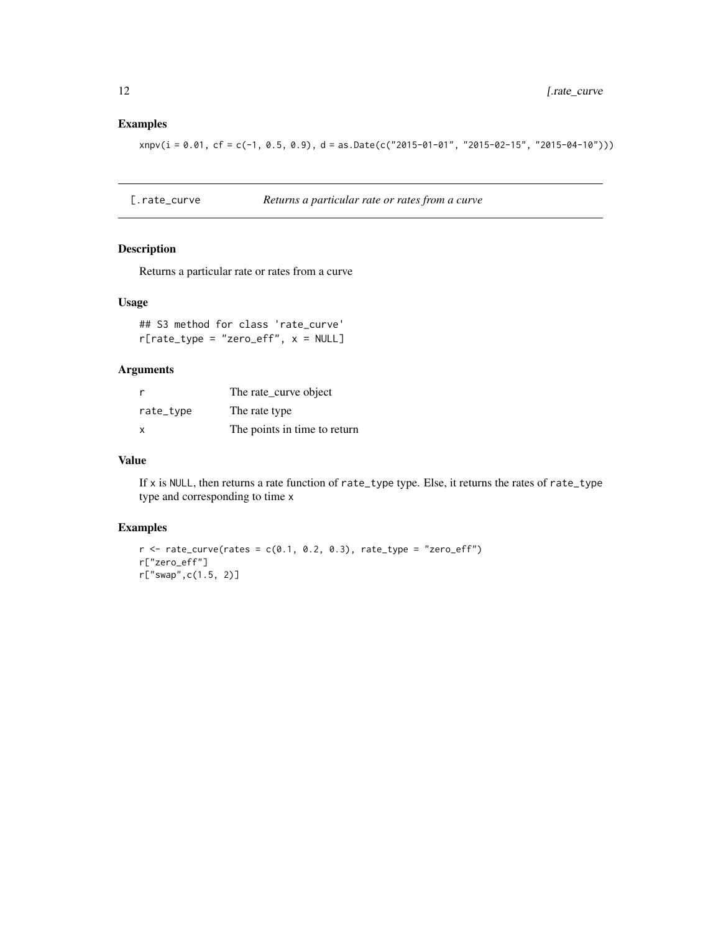#### <span id="page-11-0"></span>Examples

 $xnpv(i = 0.01, cf = c(-1, 0.5, 0.9), d = as.Date(c("2015-01-01", "2015-02-15", "2015-04-10"))$ 

[.rate\_curve *Returns a particular rate or rates from a curve*

#### Description

Returns a particular rate or rates from a curve

#### Usage

## S3 method for class 'rate\_curve'  $r[rate_type = "zero_eqf", x = NULL]$ 

#### Arguments

| <sub>r</sub> | The rate_curve object        |
|--------------|------------------------------|
| rate_type    | The rate type                |
| x            | The points in time to return |

#### Value

If x is NULL, then returns a rate function of rate\_type type. Else, it returns the rates of rate\_type type and corresponding to time x

#### Examples

```
r <- rate_curve(rates = c(0.1, 0.2, 0.3), rate_type = "zero_eff")
r["zero_eff"]
r["swap",c(1.5, 2)]
```